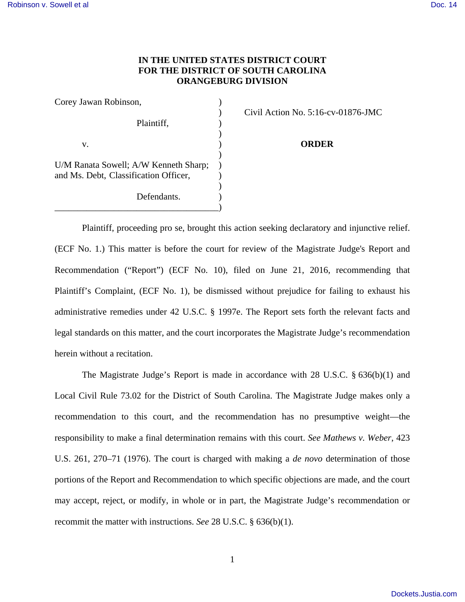## **IN THE UNITED STATES DISTRICT COURT FOR THE DISTRICT OF SOUTH CAROLINA ORANGEBURG DIVISION**

| Corey Jawan Robinson,                 |  |
|---------------------------------------|--|
|                                       |  |
| Plaintiff,                            |  |
|                                       |  |
| v.                                    |  |
|                                       |  |
| U/M Ranata Sowell; A/W Kenneth Sharp; |  |
| and Ms. Debt, Classification Officer, |  |
|                                       |  |
| Defendants.                           |  |

\_\_\_\_\_\_\_\_\_\_\_\_\_\_\_\_\_\_\_\_\_\_\_\_\_\_\_\_\_\_\_\_\_\_\_\_)

) Civil Action No. 5:16-cv-01876-JMC

**ORDER** 

 Plaintiff, proceeding pro se, brought this action seeking declaratory and injunctive relief. (ECF No. 1.) This matter is before the court for review of the Magistrate Judge's Report and Recommendation ("Report") (ECF No. 10), filed on June 21, 2016, recommending that Plaintiff's Complaint, (ECF No. 1), be dismissed without prejudice for failing to exhaust his administrative remedies under 42 U.S.C. § 1997e. The Report sets forth the relevant facts and legal standards on this matter, and the court incorporates the Magistrate Judge's recommendation herein without a recitation.

The Magistrate Judge's Report is made in accordance with 28 U.S.C. § 636(b)(1) and Local Civil Rule 73.02 for the District of South Carolina. The Magistrate Judge makes only a recommendation to this court, and the recommendation has no presumptive weight—the responsibility to make a final determination remains with this court. *See Mathews v. Weber*, 423 U.S. 261, 270–71 (1976). The court is charged with making a *de novo* determination of those portions of the Report and Recommendation to which specific objections are made, and the court may accept, reject, or modify, in whole or in part, the Magistrate Judge's recommendation or recommit the matter with instructions. *See* 28 U.S.C. § 636(b)(1).